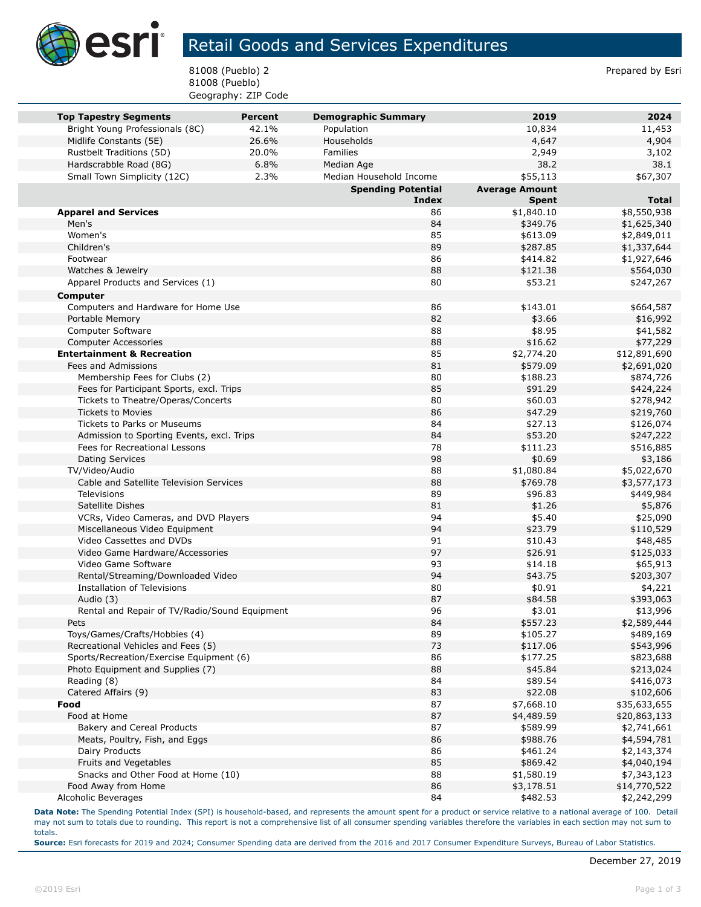

## Retail Goods and Services Expenditures

81008 (Pueblo) 2 Prepared by Esri 81008 (Pueblo) Geography: ZIP Code

| <b>Top Tapestry Segments</b>                           | <b>Percent</b> | <b>Demographic Summary</b>         | 2019                                  | 2024                 |
|--------------------------------------------------------|----------------|------------------------------------|---------------------------------------|----------------------|
| Bright Young Professionals (8C)                        | 42.1%          | Population                         | 10,834                                | 11,453               |
| Midlife Constants (5E)                                 | 26.6%          | Households                         | 4,647                                 | 4,904                |
| Rustbelt Traditions (5D)                               | 20.0%          | Families                           | 2,949                                 | 3,102                |
| Hardscrabble Road (8G)                                 | 6.8%<br>2.3%   | Median Age                         | 38.2                                  | 38.1                 |
| Small Town Simplicity (12C)                            |                | Median Household Income            | \$55,113                              | \$67,307             |
|                                                        |                | <b>Spending Potential</b><br>Index | <b>Average Amount</b><br><b>Spent</b> | <b>Total</b>         |
| <b>Apparel and Services</b>                            |                | 86                                 | \$1,840.10                            | \$8,550,938          |
| Men's                                                  |                | 84                                 | \$349.76                              | \$1,625,340          |
| Women's                                                |                | 85                                 | \$613.09                              | \$2,849,011          |
| Children's                                             |                | 89                                 | \$287.85                              | \$1,337,644          |
| Footwear                                               |                | 86                                 | \$414.82                              | \$1,927,646          |
| Watches & Jewelry                                      |                | 88                                 | \$121.38                              | \$564,030            |
| Apparel Products and Services (1)                      |                | 80                                 | \$53.21                               | \$247,267            |
| <b>Computer</b>                                        |                |                                    |                                       |                      |
| Computers and Hardware for Home Use                    |                | 86                                 | \$143.01                              | \$664,587            |
| Portable Memory                                        |                | 82                                 | \$3.66                                | \$16,992             |
| Computer Software                                      |                | 88                                 | \$8.95                                | \$41,582             |
| <b>Computer Accessories</b>                            |                | 88                                 | \$16.62                               | \$77,229             |
| <b>Entertainment &amp; Recreation</b>                  |                | 85                                 | \$2,774.20                            | \$12,891,690         |
| Fees and Admissions                                    |                | 81                                 | \$579.09                              | \$2,691,020          |
| Membership Fees for Clubs (2)                          |                | 80                                 | \$188.23                              | \$874,726            |
| Fees for Participant Sports, excl. Trips               |                | 85                                 | \$91.29                               | \$424,224            |
| Tickets to Theatre/Operas/Concerts                     |                | 80                                 | \$60.03                               | \$278,942            |
| <b>Tickets to Movies</b>                               |                | 86                                 | \$47.29                               | \$219,760            |
| Tickets to Parks or Museums                            |                | 84                                 | \$27.13                               | \$126,074            |
| Admission to Sporting Events, excl. Trips              |                | 84                                 | \$53.20                               | \$247,222            |
| Fees for Recreational Lessons                          |                | 78                                 | \$111.23                              | \$516,885            |
| <b>Dating Services</b>                                 |                | 98                                 | \$0.69                                | \$3,186              |
| TV/Video/Audio                                         |                | 88                                 | \$1,080.84                            | \$5,022,670          |
| Cable and Satellite Television Services                |                | 88                                 | \$769.78                              | \$3,577,173          |
| <b>Televisions</b>                                     |                | 89                                 | \$96.83                               | \$449,984            |
| Satellite Dishes                                       |                | 81                                 | \$1.26                                | \$5,876              |
| VCRs, Video Cameras, and DVD Players                   |                | 94                                 | \$5.40                                | \$25,090             |
| Miscellaneous Video Equipment                          |                | 94                                 | \$23.79                               | \$110,529            |
| Video Cassettes and DVDs                               |                | 91                                 | \$10.43                               | \$48,485             |
| Video Game Hardware/Accessories<br>Video Game Software |                | 97                                 | \$26.91                               | \$125,033            |
| Rental/Streaming/Downloaded Video                      |                | 93<br>94                           | \$14.18<br>\$43.75                    | \$65,913             |
| Installation of Televisions                            |                | 80                                 | \$0.91                                | \$203,307<br>\$4,221 |
| Audio (3)                                              |                | 87                                 | \$84.58                               | \$393,063            |
| Rental and Repair of TV/Radio/Sound Equipment          |                | 96                                 | \$3.01                                | \$13,996             |
| Pets                                                   |                | 84                                 | \$557.23                              | \$2,589,444          |
| Toys/Games/Crafts/Hobbies (4)                          |                | 89                                 | \$105.27                              | \$489,169            |
| Recreational Vehicles and Fees (5)                     |                | 73                                 | \$117.06                              | \$543,996            |
| Sports/Recreation/Exercise Equipment (6)               |                | 86                                 | \$177.25                              | \$823,688            |
| Photo Equipment and Supplies (7)                       |                | 88                                 | \$45.84                               | \$213,024            |
| Reading (8)                                            |                | 84                                 | \$89.54                               | \$416,073            |
| Catered Affairs (9)                                    |                | 83                                 | \$22.08                               | \$102,606            |
| Food                                                   |                | 87                                 | \$7,668.10                            | \$35,633,655         |
| Food at Home                                           |                | 87                                 | \$4,489.59                            | \$20,863,133         |
| Bakery and Cereal Products                             |                | 87                                 | \$589.99                              | \$2,741,661          |
| Meats, Poultry, Fish, and Eggs                         |                | 86                                 | \$988.76                              | \$4,594,781          |
| Dairy Products                                         |                | 86                                 | \$461.24                              | \$2,143,374          |
| Fruits and Vegetables                                  |                | 85                                 | \$869.42                              | \$4,040,194          |
| Snacks and Other Food at Home (10)                     |                | 88                                 | \$1,580.19                            | \$7,343,123          |
| Food Away from Home                                    |                | 86                                 | \$3,178.51                            | \$14,770,522         |
| Alcoholic Beverages                                    |                | 84                                 | \$482.53                              | \$2,242,299          |

**Data Note:** The Spending Potential Index (SPI) is household-based, and represents the amount spent for a product or service relative to a national average of 100. Detail may not sum to totals due to rounding. This report is not a comprehensive list of all consumer spending variables therefore the variables in each section may not sum to totals.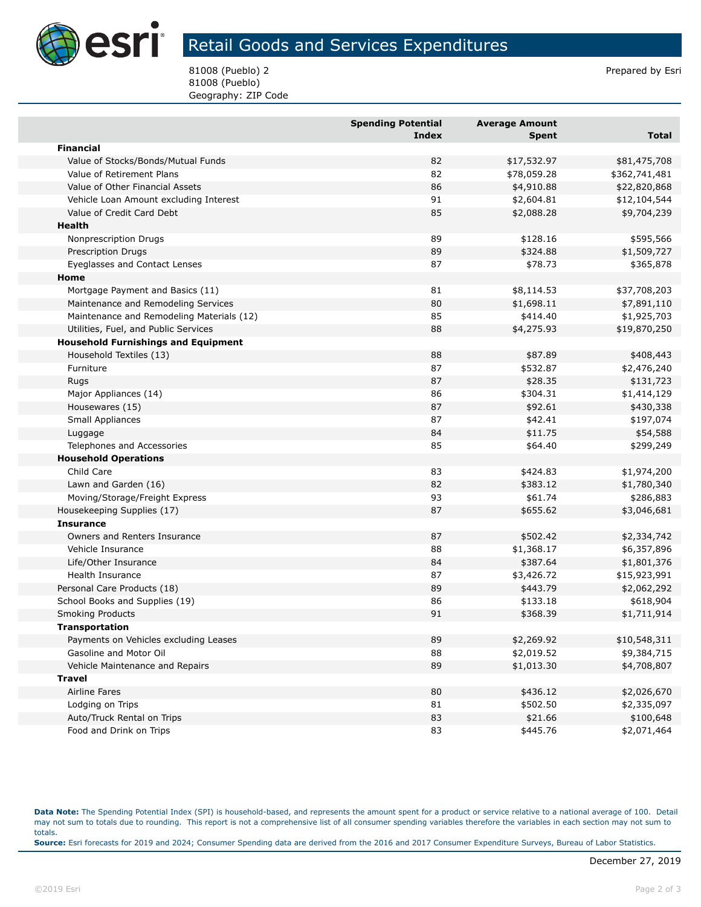

## Retail Goods and Services Expenditures

81008 (Pueblo) 2 Prepared by Esri 81008 (Pueblo) Geography: ZIP Code

|                                            | <b>Spending Potential</b> | <b>Average Amount</b> |               |
|--------------------------------------------|---------------------------|-----------------------|---------------|
|                                            | <b>Index</b>              | <b>Spent</b>          | <b>Total</b>  |
| <b>Financial</b>                           |                           |                       |               |
| Value of Stocks/Bonds/Mutual Funds         | 82                        | \$17,532.97           | \$81,475,708  |
| Value of Retirement Plans                  | 82                        | \$78,059.28           | \$362,741,481 |
| Value of Other Financial Assets            | 86                        | \$4,910.88            | \$22,820,868  |
| Vehicle Loan Amount excluding Interest     | 91                        | \$2,604.81            | \$12,104,544  |
| Value of Credit Card Debt                  | 85                        | \$2,088.28            | \$9,704,239   |
| Health                                     |                           |                       |               |
| Nonprescription Drugs                      | 89                        | \$128.16              | \$595,566     |
| Prescription Drugs                         | 89                        | \$324.88              | \$1,509,727   |
| Eyeglasses and Contact Lenses              | 87                        | \$78.73               | \$365,878     |
| Home                                       |                           |                       |               |
| Mortgage Payment and Basics (11)           | 81                        | \$8,114.53            | \$37,708,203  |
| Maintenance and Remodeling Services        | 80                        | \$1,698.11            | \$7,891,110   |
| Maintenance and Remodeling Materials (12)  | 85                        | \$414.40              | \$1,925,703   |
| Utilities, Fuel, and Public Services       | 88                        | \$4,275.93            | \$19,870,250  |
| <b>Household Furnishings and Equipment</b> |                           |                       |               |
| Household Textiles (13)                    | 88                        | \$87.89               | \$408,443     |
| Furniture                                  | 87                        | \$532.87              | \$2,476,240   |
| Rugs                                       | 87                        | \$28.35               | \$131,723     |
| Major Appliances (14)                      | 86                        | \$304.31              | \$1,414,129   |
| Housewares (15)                            | 87                        | \$92.61               | \$430,338     |
| Small Appliances                           | 87                        | \$42.41               | \$197,074     |
| Luggage                                    | 84                        | \$11.75               | \$54,588      |
| Telephones and Accessories                 | 85                        | \$64.40               | \$299,249     |
| <b>Household Operations</b>                |                           |                       |               |
| Child Care                                 | 83                        | \$424.83              | \$1,974,200   |
| Lawn and Garden (16)                       | 82                        | \$383.12              | \$1,780,340   |
| Moving/Storage/Freight Express             | 93                        | \$61.74               | \$286,883     |
| Housekeeping Supplies (17)                 | 87                        | \$655.62              | \$3,046,681   |
| <b>Insurance</b>                           |                           |                       |               |
| Owners and Renters Insurance               | 87                        | \$502.42              | \$2,334,742   |
| Vehicle Insurance                          | 88                        | \$1,368.17            | \$6,357,896   |
| Life/Other Insurance                       | 84                        | \$387.64              | \$1,801,376   |
| Health Insurance                           | 87                        | \$3,426.72            | \$15,923,991  |
| Personal Care Products (18)                | 89                        | \$443.79              | \$2,062,292   |
| School Books and Supplies (19)             | 86                        | \$133.18              | \$618,904     |
| <b>Smoking Products</b>                    | 91                        | \$368.39              | \$1,711,914   |
| <b>Transportation</b>                      |                           |                       |               |
| Payments on Vehicles excluding Leases      | 89                        | \$2,269.92            | \$10,548,311  |
| Gasoline and Motor Oil                     | 88                        | \$2,019.52            | \$9,384,715   |
| Vehicle Maintenance and Repairs            | 89                        | \$1,013.30            | \$4,708,807   |
| <b>Travel</b>                              |                           |                       |               |
| Airline Fares                              | 80                        | \$436.12              | \$2,026,670   |
| Lodging on Trips                           | 81                        | \$502.50              | \$2,335,097   |
| Auto/Truck Rental on Trips                 | 83                        | \$21.66               | \$100,648     |
| Food and Drink on Trips                    | 83                        | \$445.76              | \$2,071,464   |

**Data Note:** The Spending Potential Index (SPI) is household-based, and represents the amount spent for a product or service relative to a national average of 100. Detail may not sum to totals due to rounding. This report is not a comprehensive list of all consumer spending variables therefore the variables in each section may not sum to totals. **Source:** Esri forecasts for 2019 and 2024; Consumer Spending data are derived from the 2016 and 2017 Consumer Expenditure Surveys, Bureau of Labor Statistics.